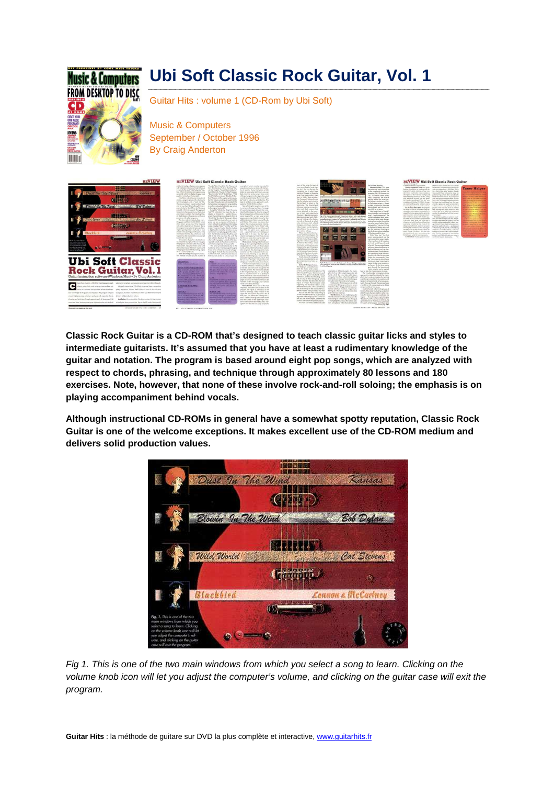## **Music & Computers FROM DESKTOP TO DISC** CD **THEFT**

## **Ubi Soft Classic Rock Guitar, Vol. 1**

Guitar Hits : volume 1 (CD-Rom by Ubi Soft)

Music & Computers September / October 1996 By Craig Anderton



**Classic Rock Guitar is a CD-ROM that's designed to teach classic guitar licks and styles to intermediate guitarists. It's assumed that you have at least a rudimentary knowledge of the guitar and notation. The program is based around eight pop songs, which are analyzed with respect to chords, phrasing, and technique through approximately 80 lessons and 180 exercises. Note, however, that none of these involve rock-and-roll soloing; the emphasis is on playing accompaniment behind vocals.** 

**Although instructional CD-ROMs in general have a somewhat spotty reputation, Classic Rock Guitar is one of the welcome exceptions. It makes excellent use of the CD-ROM medium and delivers solid production values.** 



Fig 1. This is one of the two main windows from which you select a song to learn. Clicking on the volume knob icon will let you adjust the computer's volume, and clicking on the guitar case will exit the program.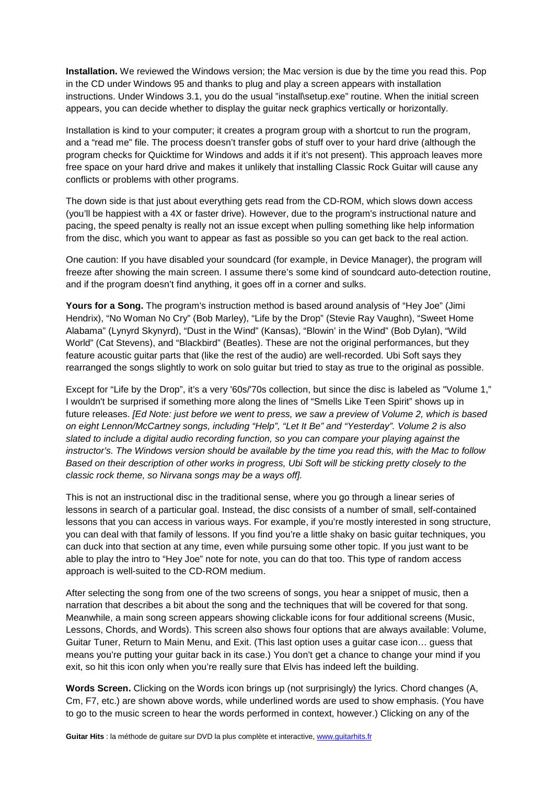**Installation.** We reviewed the Windows version; the Mac version is due by the time you read this. Pop in the CD under Windows 95 and thanks to plug and play a screen appears with installation instructions. Under Windows 3.1, you do the usual "install\setup.exe" routine. When the initial screen appears, you can decide whether to display the guitar neck graphics vertically or horizontally.

Installation is kind to your computer; it creates a program group with a shortcut to run the program, and a "read me" file. The process doesn't transfer gobs of stuff over to your hard drive (although the program checks for Quicktime for Windows and adds it if it's not present). This approach leaves more free space on your hard drive and makes it unlikely that installing Classic Rock Guitar will cause any conflicts or problems with other programs.

The down side is that just about everything gets read from the CD-ROM, which slows down access (you'll be happiest with a 4X or faster drive). However, due to the program's instructional nature and pacing, the speed penalty is really not an issue except when pulling something like help information from the disc, which you want to appear as fast as possible so you can get back to the real action.

One caution: If you have disabled your soundcard (for example, in Device Manager), the program will freeze after showing the main screen. I assume there's some kind of soundcard auto-detection routine, and if the program doesn't find anything, it goes off in a corner and sulks.

**Yours for a Song.** The program's instruction method is based around analysis of "Hey Joe" (Jimi Hendrix), "No Woman No Cry" (Bob Marley), "Life by the Drop" (Stevie Ray Vaughn), "Sweet Home Alabama" (Lynyrd Skynyrd), "Dust in the Wind" (Kansas), "Blowin' in the Wind" (Bob Dylan), "Wild World" (Cat Stevens), and "Blackbird" (Beatles). These are not the original performances, but they feature acoustic guitar parts that (like the rest of the audio) are well-recorded. Ubi Soft says they rearranged the songs slightly to work on solo guitar but tried to stay as true to the original as possible.

Except for "Life by the Drop", it's a very '60s/'70s collection, but since the disc is labeled as "Volume 1," I wouldn't be surprised if something more along the lines of "Smells Like Teen Spirit" shows up in future releases. [Ed Note: just before we went to press, we saw a preview of Volume 2, which is based on eight Lennon/McCartney songs, including "Help", "Let It Be" and "Yesterday". Volume 2 is also slated to include a digital audio recording function, so you can compare your playing against the instructor's. The Windows version should be available by the time you read this, with the Mac to follow Based on their description of other works in progress, Ubi Soft will be sticking pretty closely to the classic rock theme, so Nirvana songs may be a ways off].

This is not an instructional disc in the traditional sense, where you go through a linear series of lessons in search of a particular goal. Instead, the disc consists of a number of small, self-contained lessons that you can access in various ways. For example, if you're mostly interested in song structure, you can deal with that family of lessons. If you find you're a little shaky on basic guitar techniques, you can duck into that section at any time, even while pursuing some other topic. If you just want to be able to play the intro to "Hey Joe" note for note, you can do that too. This type of random access approach is well-suited to the CD-ROM medium.

After selecting the song from one of the two screens of songs, you hear a snippet of music, then a narration that describes a bit about the song and the techniques that will be covered for that song. Meanwhile, a main song screen appears showing clickable icons for four additional screens (Music, Lessons, Chords, and Words). This screen also shows four options that are always available: Volume, Guitar Tuner, Return to Main Menu, and Exit. (This last option uses a guitar case icon… guess that means you're putting your guitar back in its case.) You don't get a chance to change your mind if you exit, so hit this icon only when you're really sure that Elvis has indeed left the building.

**Words Screen.** Clicking on the Words icon brings up (not surprisingly) the lyrics. Chord changes (A, Cm, F7, etc.) are shown above words, while underlined words are used to show emphasis. (You have to go to the music screen to hear the words performed in context, however.) Clicking on any of the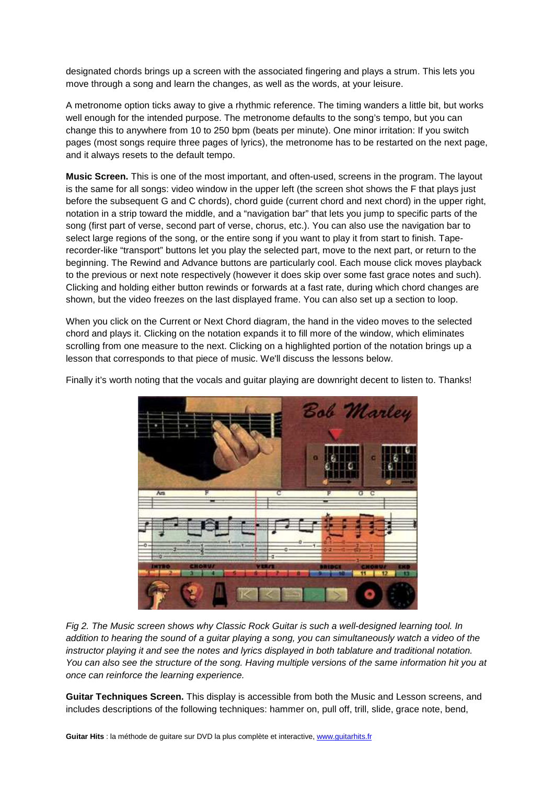designated chords brings up a screen with the associated fingering and plays a strum. This lets you move through a song and learn the changes, as well as the words, at your leisure.

A metronome option ticks away to give a rhythmic reference. The timing wanders a little bit, but works well enough for the intended purpose. The metronome defaults to the song's tempo, but you can change this to anywhere from 10 to 250 bpm (beats per minute). One minor irritation: If you switch pages (most songs require three pages of lyrics), the metronome has to be restarted on the next page, and it always resets to the default tempo.

**Music Screen.** This is one of the most important, and often-used, screens in the program. The layout is the same for all songs: video window in the upper left (the screen shot shows the F that plays just before the subsequent G and C chords), chord guide (current chord and next chord) in the upper right, notation in a strip toward the middle, and a "navigation bar" that lets you jump to specific parts of the song (first part of verse, second part of verse, chorus, etc.). You can also use the navigation bar to select large regions of the song, or the entire song if you want to play it from start to finish. Taperecorder-like "transport" buttons let you play the selected part, move to the next part, or return to the beginning. The Rewind and Advance buttons are particularly cool. Each mouse click moves playback to the previous or next note respectively (however it does skip over some fast grace notes and such). Clicking and holding either button rewinds or forwards at a fast rate, during which chord changes are shown, but the video freezes on the last displayed frame. You can also set up a section to loop.

When you click on the Current or Next Chord diagram, the hand in the video moves to the selected chord and plays it. Clicking on the notation expands it to fill more of the window, which eliminates scrolling from one measure to the next. Clicking on a highlighted portion of the notation brings up a lesson that corresponds to that piece of music. We'll discuss the lessons below.



Finally it's worth noting that the vocals and guitar playing are downright decent to listen to. Thanks!

Fig 2. The Music screen shows why Classic Rock Guitar is such a well-designed learning tool. In addition to hearing the sound of a guitar playing a song, you can simultaneously watch a video of the instructor playing it and see the notes and lyrics displayed in both tablature and traditional notation. You can also see the structure of the song. Having multiple versions of the same information hit you at once can reinforce the learning experience.

**Guitar Techniques Screen.** This display is accessible from both the Music and Lesson screens, and includes descriptions of the following techniques: hammer on, pull off, trill, slide, grace note, bend,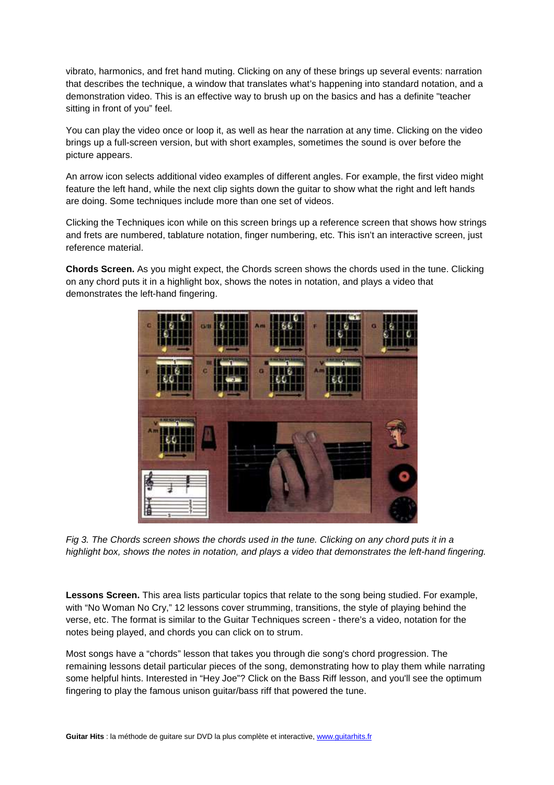vibrato, harmonics, and fret hand muting. Clicking on any of these brings up several events: narration that describes the technique, a window that translates what's happening into standard notation, and a demonstration video. This is an effective way to brush up on the basics and has a definite "teacher sitting in front of you" feel.

You can play the video once or loop it, as well as hear the narration at any time. Clicking on the video brings up a full-screen version, but with short examples, sometimes the sound is over before the picture appears.

An arrow icon selects additional video examples of different angles. For example, the first video might feature the left hand, while the next clip sights down the guitar to show what the right and left hands are doing. Some techniques include more than one set of videos.

Clicking the Techniques icon while on this screen brings up a reference screen that shows how strings and frets are numbered, tablature notation, finger numbering, etc. This isn't an interactive screen, just reference material.

**Chords Screen.** As you might expect, the Chords screen shows the chords used in the tune. Clicking on any chord puts it in a highlight box, shows the notes in notation, and plays a video that demonstrates the left-hand fingering.



Fig 3. The Chords screen shows the chords used in the tune. Clicking on any chord puts it in a highlight box, shows the notes in notation, and plays a video that demonstrates the left-hand fingering.

**Lessons Screen.** This area lists particular topics that relate to the song being studied. For example, with "No Woman No Cry," 12 lessons cover strumming, transitions, the style of playing behind the verse, etc. The format is similar to the Guitar Techniques screen - there's a video, notation for the notes being played, and chords you can click on to strum.

Most songs have a "chords" lesson that takes you through die song's chord progression. The remaining lessons detail particular pieces of the song, demonstrating how to play them while narrating some helpful hints. Interested in "Hey Joe"? Click on the Bass Riff lesson, and you'll see the optimum fingering to play the famous unison guitar/bass riff that powered the tune.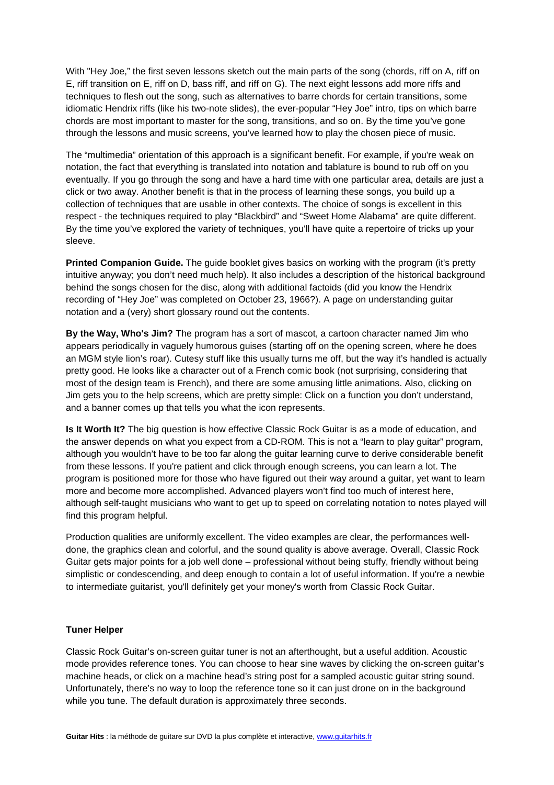With "Hey Joe," the first seven lessons sketch out the main parts of the song (chords, riff on A, riff on E, riff transition on E, riff on D, bass riff, and riff on G). The next eight lessons add more riffs and techniques to flesh out the song, such as alternatives to barre chords for certain transitions, some idiomatic Hendrix riffs (like his two-note slides), the ever-popular "Hey Joe" intro, tips on which barre chords are most important to master for the song, transitions, and so on. By the time you've gone through the lessons and music screens, you've learned how to play the chosen piece of music.

The "multimedia" orientation of this approach is a significant benefit. For example, if you're weak on notation, the fact that everything is translated into notation and tablature is bound to rub off on you eventually. If you go through the song and have a hard time with one particular area, details are just a click or two away. Another benefit is that in the process of learning these songs, you build up a collection of techniques that are usable in other contexts. The choice of songs is excellent in this respect - the techniques required to play "Blackbird" and "Sweet Home Alabama" are quite different. By the time you've explored the variety of techniques, you'll have quite a repertoire of tricks up your sleeve.

**Printed Companion Guide.** The guide booklet gives basics on working with the program (it's pretty intuitive anyway; you don't need much help). It also includes a description of the historical background behind the songs chosen for the disc, along with additional factoids (did you know the Hendrix recording of "Hey Joe" was completed on October 23, 1966?). A page on understanding guitar notation and a (very) short glossary round out the contents.

**By the Way, Who's Jim?** The program has a sort of mascot, a cartoon character named Jim who appears periodically in vaguely humorous guises (starting off on the opening screen, where he does an MGM style lion's roar). Cutesy stuff like this usually turns me off, but the way it's handled is actually pretty good. He looks like a character out of a French comic book (not surprising, considering that most of the design team is French), and there are some amusing little animations. Also, clicking on Jim gets you to the help screens, which are pretty simple: Click on a function you don't understand, and a banner comes up that tells you what the icon represents.

**Is It Worth It?** The big question is how effective Classic Rock Guitar is as a mode of education, and the answer depends on what you expect from a CD-ROM. This is not a "learn to play guitar" program, although you wouldn't have to be too far along the guitar learning curve to derive considerable benefit from these lessons. If you're patient and click through enough screens, you can learn a lot. The program is positioned more for those who have figured out their way around a guitar, yet want to learn more and become more accomplished. Advanced players won't find too much of interest here, although self-taught musicians who want to get up to speed on correlating notation to notes played will find this program helpful.

Production qualities are uniformly excellent. The video examples are clear, the performances welldone, the graphics clean and colorful, and the sound quality is above average. Overall, Classic Rock Guitar gets major points for a job well done – professional without being stuffy, friendly without being simplistic or condescending, and deep enough to contain a lot of useful information. If you're a newbie to intermediate guitarist, you'll definitely get your money's worth from Classic Rock Guitar.

## **Tuner Helper**

Classic Rock Guitar's on-screen guitar tuner is not an afterthought, but a useful addition. Acoustic mode provides reference tones. You can choose to hear sine waves by clicking the on-screen guitar's machine heads, or click on a machine head's string post for a sampled acoustic guitar string sound. Unfortunately, there's no way to loop the reference tone so it can just drone on in the background while you tune. The default duration is approximately three seconds.